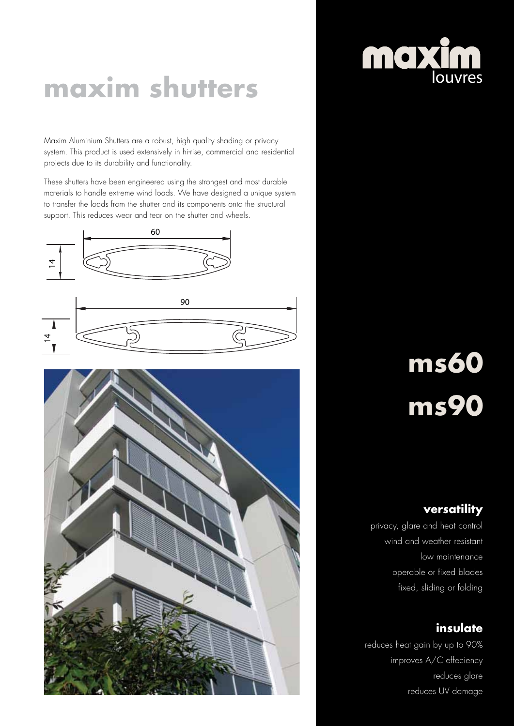### **maxim shutters**

Maxim Aluminium Shutters are a robust, high quality shading or privacy system. This product is used extensively in hi-rise, commercial and residential projects due to its durability and functionality.

These shutters have been engineered using the strongest and most durable materials to handle extreme wind loads. We have designed a unique system to transfer the loads from the shutter and its components onto the structural support. This reduces wear and tear on the shutter and wheels.





# maxim

# **ms60 ms90**

### **versatility**

privacy, glare and heat control wind and weather resistant low maintenance operable or fixed blades fixed, sliding or folding

### **insulate**

reduces heat gain by up to 90% improves A/C effeciency reduces glare reduces UV damage